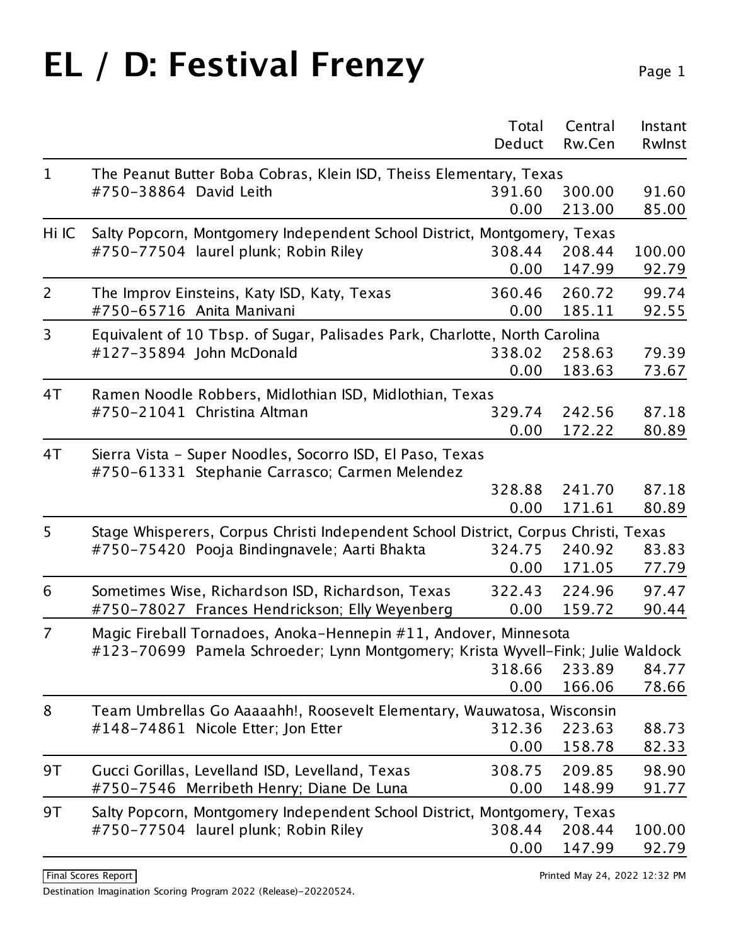## EL / D: Festival Frenzy Page 1

|                |                                                                                                             | Total<br>Deduct | Central<br>Rw.Cen | Instant<br>Rwlnst |
|----------------|-------------------------------------------------------------------------------------------------------------|-----------------|-------------------|-------------------|
| $\mathbf 1$    | The Peanut Butter Boba Cobras, Klein ISD, Theiss Elementary, Texas                                          |                 |                   |                   |
|                | #750-38864 David Leith                                                                                      | 391.60<br>0.00  | 300.00<br>213.00  | 91.60<br>85.00    |
| Hi IC          | Salty Popcorn, Montgomery Independent School District, Montgomery, Texas                                    |                 |                   |                   |
|                | #750-77504 laurel plunk; Robin Riley                                                                        | 308.44          | 208.44            | 100.00            |
|                |                                                                                                             | 0.00            | 147.99            | 92.79             |
| $\overline{2}$ | The Improv Einsteins, Katy ISD, Katy, Texas                                                                 | 360.46          | 260.72            | 99.74             |
|                | #750-65716 Anita Manivani                                                                                   | 0.00            | 185.11            | 92.55             |
| 3              | Equivalent of 10 Tbsp. of Sugar, Palisades Park, Charlotte, North Carolina                                  |                 |                   |                   |
|                | #127-35894 John McDonald                                                                                    | 338.02          | 258.63            | 79.39             |
|                |                                                                                                             | 0.00            | 183.63            | 73.67             |
| 4T             | Ramen Noodle Robbers, Midlothian ISD, Midlothian, Texas                                                     |                 |                   |                   |
|                | #750-21041 Christina Altman                                                                                 | 329.74          | 242.56            | 87.18             |
|                |                                                                                                             | 0.00            | 172.22            | 80.89             |
| 4T             | Sierra Vista - Super Noodles, Socorro ISD, El Paso, Texas<br>#750-61331 Stephanie Carrasco; Carmen Melendez |                 |                   |                   |
|                |                                                                                                             | 328.88          | 241.70            | 87.18             |
|                |                                                                                                             | 0.00            | 171.61            | 80.89             |
| 5              | Stage Whisperers, Corpus Christi Independent School District, Corpus Christi, Texas                         |                 |                   |                   |
|                | #750-75420 Pooja Bindingnavele; Aarti Bhakta                                                                | 324.75          | 240.92            | 83.83             |
|                |                                                                                                             | 0.00            | 171.05            | 77.79             |
| 6              | Sometimes Wise, Richardson ISD, Richardson, Texas                                                           | 322.43          | 224.96            | 97.47             |
|                | #750-78027 Frances Hendrickson; Elly Weyenberg                                                              | 0.00            | 159.72            | 90.44             |
| $\overline{7}$ | Magic Fireball Tornadoes, Anoka-Hennepin #11, Andover, Minnesota                                            |                 |                   |                   |
|                | #123-70699 Pamela Schroeder; Lynn Montgomery; Krista Wyvell-Fink; Julie Waldock                             |                 |                   |                   |
|                |                                                                                                             | 318.66          | 233.89            | 84.77             |
|                |                                                                                                             | 0.00            | 166.06            | 78.66             |
| 8              | Team Umbrellas Go Aaaaahh!, Roosevelt Elementary, Wauwatosa, Wisconsin                                      |                 |                   |                   |
|                | #148-74861 Nicole Etter; Jon Etter                                                                          | 312.36          | 223.63            | 88.73             |
|                |                                                                                                             | 0.00            | 158.78            | 82.33             |
| 9T             | Gucci Gorillas, Levelland ISD, Levelland, Texas                                                             | 308.75          | 209.85            | 98.90             |
|                | #750-7546 Merribeth Henry; Diane De Luna                                                                    | 0.00            | 148.99            | 91.77             |
| 9T             | Salty Popcorn, Montgomery Independent School District, Montgomery, Texas                                    |                 |                   |                   |
|                | #750-77504 laurel plunk; Robin Riley                                                                        | 308.44          | 208.44            | 100.00            |
|                |                                                                                                             | 0.00            | 147.99            | 92.79             |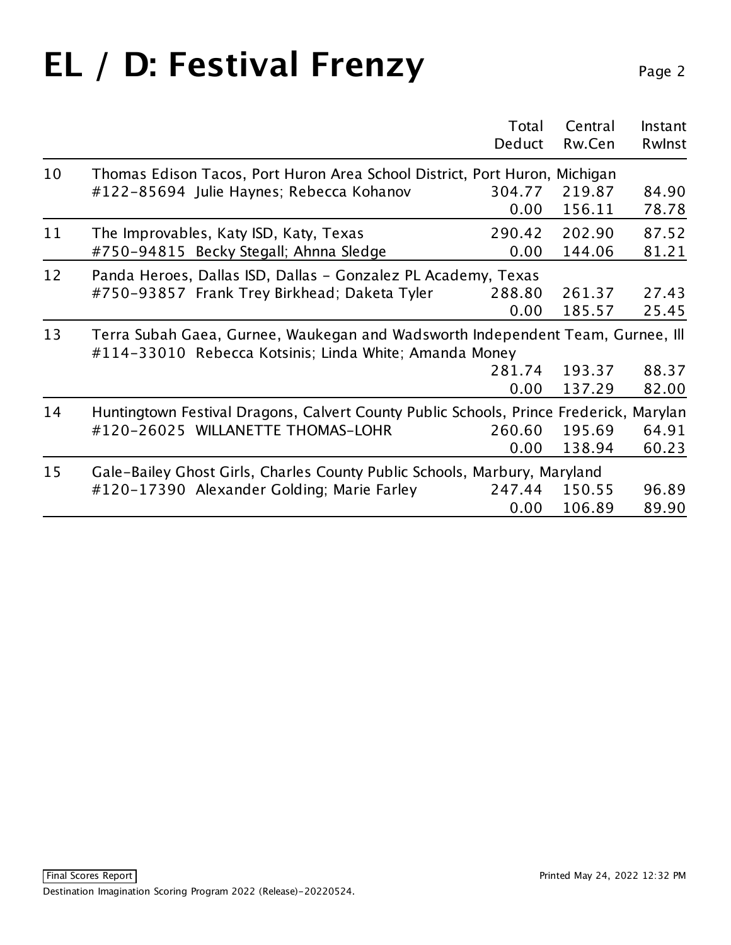## EL / D: Festival Frenzy Page 2

|    |                                                                                                                                          | Total<br>Deduct | Central<br>Rw.Cen | Instant<br>Rwlnst |
|----|------------------------------------------------------------------------------------------------------------------------------------------|-----------------|-------------------|-------------------|
| 10 | Thomas Edison Tacos, Port Huron Area School District, Port Huron, Michigan                                                               |                 |                   |                   |
|    | #122-85694 Julie Haynes; Rebecca Kohanov                                                                                                 | 304.77          | 219.87            | 84.90             |
|    |                                                                                                                                          | 0.00            | 156.11            | 78.78             |
| 11 | The Improvables, Katy ISD, Katy, Texas                                                                                                   | 290.42          | 202.90            | 87.52             |
|    | #750-94815 Becky Stegall; Ahnna Sledge                                                                                                   | 0.00            | 144.06            | 81.21             |
| 12 | Panda Heroes, Dallas ISD, Dallas - Gonzalez PL Academy, Texas                                                                            |                 |                   |                   |
|    | #750-93857 Frank Trey Birkhead; Daketa Tyler                                                                                             | 288.80          | 261.37            | 27.43             |
|    |                                                                                                                                          | 0.00            | 185.57            | 25.45             |
| 13 | Terra Subah Gaea, Gurnee, Waukegan and Wadsworth Independent Team, Gurnee, Ill<br>#114-33010 Rebecca Kotsinis; Linda White; Amanda Money |                 |                   |                   |
|    |                                                                                                                                          | 281.74          | 193.37            | 88.37             |
|    |                                                                                                                                          | 0.00            | 137.29            | 82.00             |
| 14 | Huntingtown Festival Dragons, Calvert County Public Schools, Prince Frederick, Marylan                                                   |                 |                   |                   |
|    | #120-26025 WILLANETTE THOMAS-LOHR                                                                                                        | 260.60          | 195.69            | 64.91             |
|    |                                                                                                                                          | 0.00            | 138.94            | 60.23             |
| 15 | Gale-Bailey Ghost Girls, Charles County Public Schools, Marbury, Maryland                                                                |                 |                   |                   |
|    | #120-17390 Alexander Golding; Marie Farley                                                                                               | 247.44          | 150.55            | 96.89             |
|    |                                                                                                                                          | 0.00            | 106.89            | 89.90             |
|    |                                                                                                                                          |                 |                   |                   |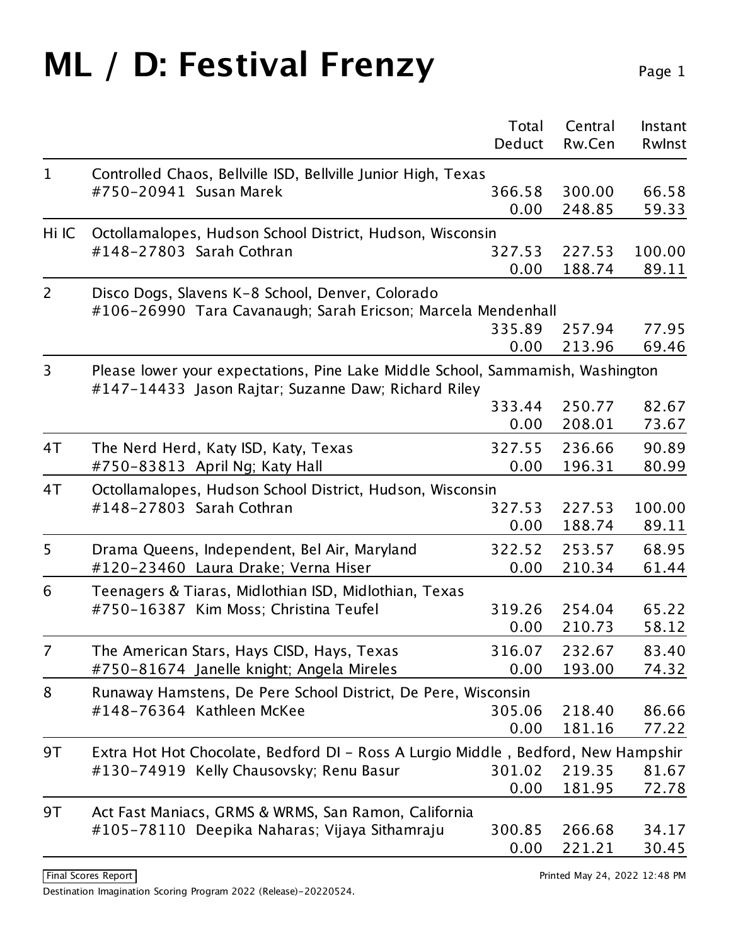## **ML** / **D: Festival Frenzy** Page 1

|                |                                                                                   | Total          | Central          | Instant         |
|----------------|-----------------------------------------------------------------------------------|----------------|------------------|-----------------|
|                |                                                                                   | Deduct         | Rw.Cen           | Rwlnst          |
| $\mathbf{1}$   | Controlled Chaos, Bellville ISD, Bellville Junior High, Texas                     |                |                  |                 |
|                | #750-20941 Susan Marek                                                            | 366.58         | 300.00           | 66.58           |
|                |                                                                                   | 0.00           | 248.85           | 59.33           |
| Hi IC          | Octollamalopes, Hudson School District, Hudson, Wisconsin                         |                |                  |                 |
|                | #148-27803 Sarah Cothran                                                          | 327.53         | 227.53           | 100.00          |
|                |                                                                                   | 0.00           | 188.74           | 89.11           |
| $\overline{2}$ | Disco Dogs, Slavens K-8 School, Denver, Colorado                                  |                |                  |                 |
|                | #106-26990 Tara Cavanaugh; Sarah Ericson; Marcela Mendenhall                      |                |                  |                 |
|                |                                                                                   | 335.89         | 257.94           | 77.95           |
|                |                                                                                   | 0.00           | 213.96           | 69.46           |
| 3              | Please lower your expectations, Pine Lake Middle School, Sammamish, Washington    |                |                  |                 |
|                | #147-14433 Jason Rajtar; Suzanne Daw; Richard Riley                               | 333.44         | 250.77           | 82.67           |
|                |                                                                                   | 0.00           | 208.01           | 73.67           |
|                |                                                                                   |                |                  |                 |
| 4T             | The Nerd Herd, Katy ISD, Katy, Texas                                              | 327.55<br>0.00 | 236.66<br>196.31 | 90.89<br>80.99  |
|                | #750-83813 April Ng; Katy Hall                                                    |                |                  |                 |
| 4T             | Octollamalopes, Hudson School District, Hudson, Wisconsin                         |                |                  |                 |
|                | #148-27803 Sarah Cothran                                                          | 327.53<br>0.00 | 227.53<br>188.74 | 100.00<br>89.11 |
|                |                                                                                   |                |                  |                 |
| 5              | Drama Queens, Independent, Bel Air, Maryland                                      | 322.52         | 253.57           | 68.95           |
|                | #120-23460 Laura Drake; Verna Hiser                                               | 0.00           | 210.34           | 61.44           |
| 6              | Teenagers & Tiaras, Midlothian ISD, Midlothian, Texas                             |                |                  |                 |
|                | #750-16387 Kim Moss; Christina Teufel                                             | 319.26         | 254.04           | 65.22           |
|                |                                                                                   | 0.00           | 210.73           | 58.12           |
| 7              | The American Stars, Hays CISD, Hays, Texas                                        | 316.07         | 232.67           | 83.40           |
|                | #750-81674 Janelle knight; Angela Mireles                                         | 0.00           | 193.00           | 74.32           |
| 8              | Runaway Hamstens, De Pere School District, De Pere, Wisconsin                     |                |                  |                 |
|                | #148-76364 Kathleen McKee                                                         | 305.06         | 218.40           | 86.66           |
|                |                                                                                   | 0.00           | 181.16           | 77.22           |
| 9T             | Extra Hot Hot Chocolate, Bedford DI - Ross A Lurgio Middle, Bedford, New Hampshir |                |                  |                 |
|                | #130-74919 Kelly Chausovsky; Renu Basur                                           | 301.02         | 219.35           | 81.67           |
|                |                                                                                   | 0.00           | 181.95           | 72.78           |
| 9T             | Act Fast Maniacs, GRMS & WRMS, San Ramon, California                              |                |                  |                 |
|                | #105-78110 Deepika Naharas; Vijaya Sithamraju                                     | 300.85         | 266.68           | 34.17           |
|                |                                                                                   | 0.00           | 221.21           | 30.45           |
|                |                                                                                   |                |                  |                 |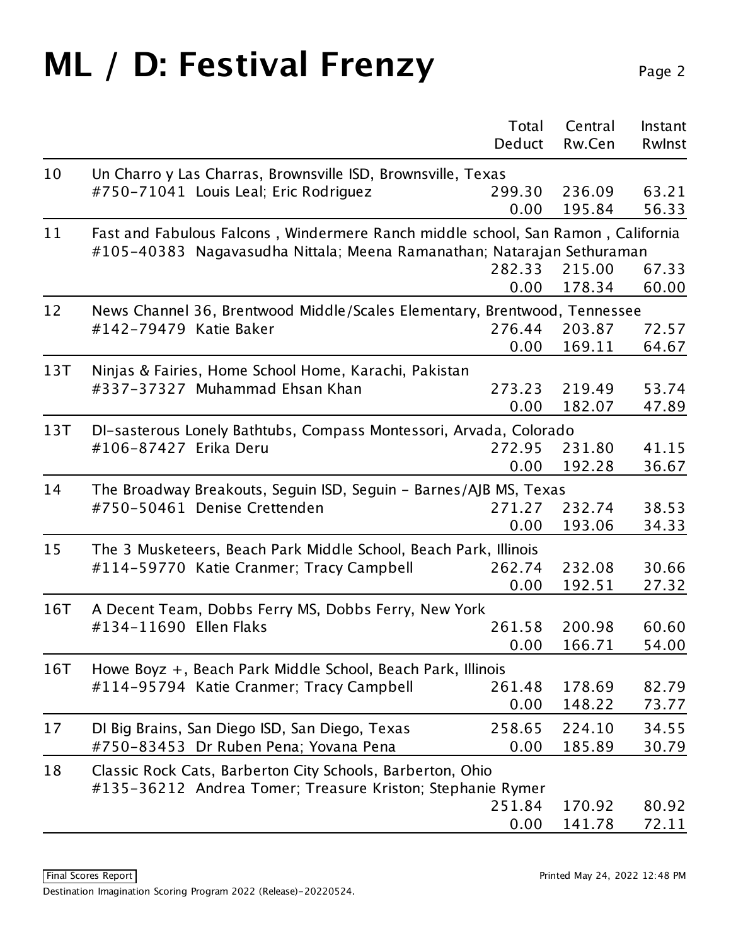#### **ML** / **D: Festival Frenzy** Page 2

|     |                                                                                  | Total  | Central | Instant |  |
|-----|----------------------------------------------------------------------------------|--------|---------|---------|--|
|     |                                                                                  | Deduct | Rw.Cen  | Rwinst  |  |
| 10  | Un Charro y Las Charras, Brownsville ISD, Brownsville, Texas                     |        |         |         |  |
|     | #750-71041 Louis Leal; Eric Rodriguez                                            | 299.30 | 236.09  | 63.21   |  |
|     |                                                                                  | 0.00   | 195.84  | 56.33   |  |
| 11  | Fast and Fabulous Falcons, Windermere Ranch middle school, San Ramon, California |        |         |         |  |
|     | #105-40383 Nagavasudha Nittala; Meena Ramanathan; Natarajan Sethuraman           |        |         |         |  |
|     |                                                                                  | 282.33 | 215.00  | 67.33   |  |
|     |                                                                                  | 0.00   | 178.34  | 60.00   |  |
| 12  | News Channel 36, Brentwood Middle/Scales Elementary, Brentwood, Tennessee        |        |         |         |  |
|     | #142-79479 Katie Baker                                                           | 276.44 | 203.87  | 72.57   |  |
|     |                                                                                  | 0.00   | 169.11  | 64.67   |  |
| 13T | Ninjas & Fairies, Home School Home, Karachi, Pakistan                            |        |         |         |  |
|     | #337-37327 Muhammad Ehsan Khan                                                   | 273.23 | 219.49  | 53.74   |  |
|     |                                                                                  | 0.00   | 182.07  | 47.89   |  |
| 13T | DI-sasterous Lonely Bathtubs, Compass Montessori, Arvada, Colorado               |        |         |         |  |
|     | #106-87427 Erika Deru                                                            | 272.95 | 231.80  | 41.15   |  |
|     |                                                                                  | 0.00   | 192.28  | 36.67   |  |
| 14  | The Broadway Breakouts, Seguin ISD, Seguin - Barnes/AJB MS, Texas                |        |         |         |  |
|     | #750-50461 Denise Crettenden                                                     | 271.27 | 232.74  | 38.53   |  |
|     |                                                                                  | 0.00   | 193.06  | 34.33   |  |
| 15  | The 3 Musketeers, Beach Park Middle School, Beach Park, Illinois                 |        |         |         |  |
|     | #114-59770 Katie Cranmer; Tracy Campbell                                         | 262.74 | 232.08  | 30.66   |  |
|     |                                                                                  | 0.00   | 192.51  | 27.32   |  |
| 16T | A Decent Team, Dobbs Ferry MS, Dobbs Ferry, New York                             |        |         |         |  |
|     | #134-11690 Ellen Flaks                                                           | 261.58 | 200.98  | 60.60   |  |
|     |                                                                                  | 0.00   | 166.71  | 54.00   |  |
| 16T | Howe Boyz +, Beach Park Middle School, Beach Park, Illinois                      |        |         |         |  |
|     | #114-95794 Katie Cranmer; Tracy Campbell                                         | 261.48 | 178.69  | 82.79   |  |
|     |                                                                                  | 0.00   | 148.22  | 73.77   |  |
| 17  | DI Big Brains, San Diego ISD, San Diego, Texas                                   | 258.65 | 224.10  | 34.55   |  |
|     | #750-83453 Dr Ruben Pena; Yovana Pena                                            | 0.00   | 185.89  | 30.79   |  |
| 18  | Classic Rock Cats, Barberton City Schools, Barberton, Ohio                       |        |         |         |  |
|     | #135-36212 Andrea Tomer; Treasure Kriston; Stephanie Rymer                       |        |         |         |  |
|     |                                                                                  | 251.84 | 170.92  | 80.92   |  |
|     |                                                                                  | 0.00   | 141.78  | 72.11   |  |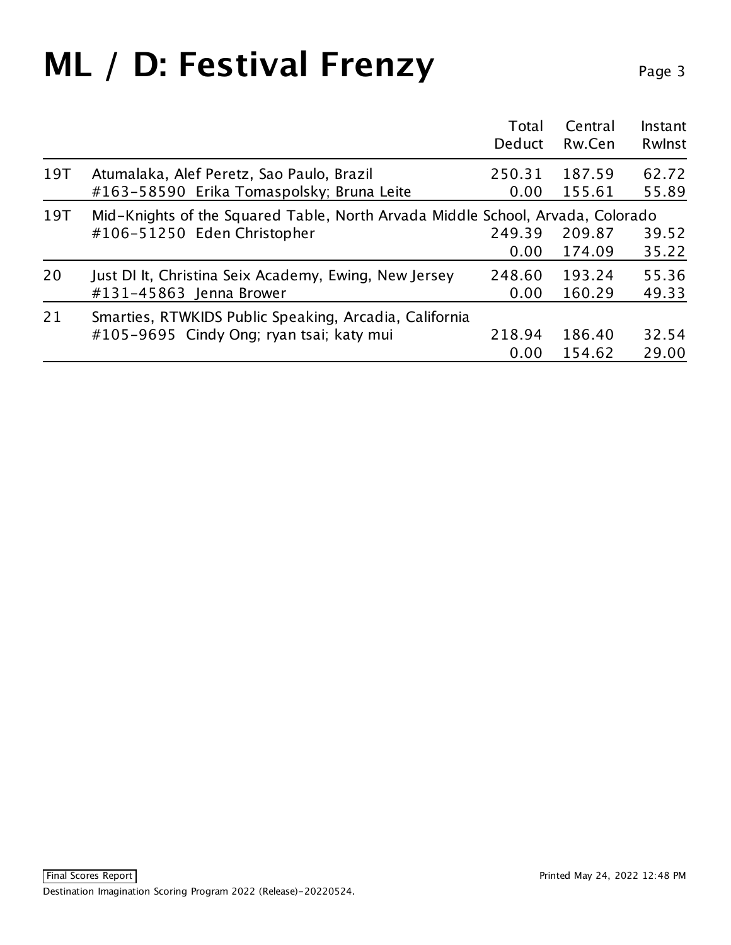## **ML** / **D: Festival Frenzy** Page 3

|     |                                                                                        | Total<br>Deduct | Central<br>Rw.Cen | Instant<br>Rwlnst |
|-----|----------------------------------------------------------------------------------------|-----------------|-------------------|-------------------|
| 19T | Atumalaka, Alef Peretz, Sao Paulo, Brazil<br>#163-58590 Erika Tomaspolsky; Bruna Leite | 250.31<br>0.00  | 187.59<br>155.61  | 62.72<br>55.89    |
| 19T | Mid-Knights of the Squared Table, North Arvada Middle School, Arvada, Colorado         |                 |                   |                   |
|     | #106-51250 Eden Christopher                                                            | 249.39          | 209.87            | 39.52             |
|     |                                                                                        | 0.00            | 174.09            | 35.22             |
| 20  | Just DI It, Christina Seix Academy, Ewing, New Jersey                                  | 248.60          | 193.24            | 55.36             |
|     | #131-45863 Jenna Brower                                                                | 0.00            | 160.29            | 49.33             |
| 21  | Smarties, RTWKIDS Public Speaking, Arcadia, California                                 |                 |                   |                   |
|     | #105-9695 Cindy Ong; ryan tsai; katy mui                                               | 218.94          | 186.40            | 32.54             |
|     |                                                                                        | 0.00            | 154.62            | 29.00             |
|     |                                                                                        |                 |                   |                   |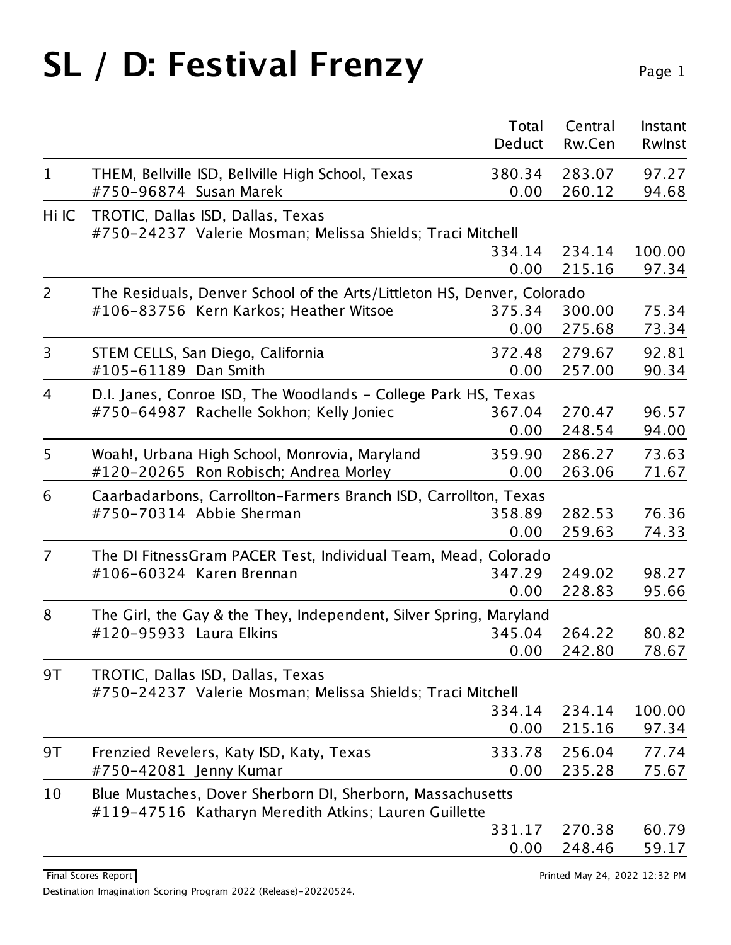# SL / D: Festival Frenzy Page 1

|                |                                                                                                                           | Total<br>Deduct        | Central<br>Rw.Cen          | Instant<br>Rwlnst       |
|----------------|---------------------------------------------------------------------------------------------------------------------------|------------------------|----------------------------|-------------------------|
| $\mathbf{1}$   | THEM, Bellville ISD, Bellville High School, Texas                                                                         | 380.34                 | 283.07                     | 97.27                   |
| Hi IC          | #750-96874 Susan Marek<br>TROTIC, Dallas ISD, Dallas, Texas<br>#750-24237 Valerie Mosman; Melissa Shields; Traci Mitchell | 0.00                   | 260.12                     | 94.68                   |
|                |                                                                                                                           | 334.14<br>0.00         | 234.14<br>215.16           | 100.00<br>97.34         |
| $\overline{2}$ | The Residuals, Denver School of the Arts/Littleton HS, Denver, Colorado<br>#106-83756 Kern Karkos; Heather Witsoe         | 375.34<br>0.00         | 300.00<br>275.68           | 75.34<br>73.34          |
| 3              | STEM CELLS, San Diego, California<br>#105-61189 Dan Smith                                                                 | 372.48<br>0.00         | 279.67<br>257.00           | 92.81<br>90.34          |
| 4              | D.I. Janes, Conroe ISD, The Woodlands - College Park HS, Texas<br>#750-64987 Rachelle Sokhon; Kelly Joniec                | 367.04<br>0.00         | 270.47<br>248.54           | 96.57<br>94.00          |
| 5              | Woah!, Urbana High School, Monrovia, Maryland<br>#120-20265 Ron Robisch; Andrea Morley                                    | 359.90<br>0.00         | 286.27<br>263.06           | 73.63<br>71.67          |
| 6              | Caarbadarbons, Carrollton-Farmers Branch ISD, Carrollton, Texas<br>#750-70314 Abbie Sherman                               | 358.89<br>0.00         | 282.53<br>259.63           | 76.36<br>74.33          |
| $\overline{7}$ | The DI FitnessGram PACER Test, Individual Team, Mead, Colorado<br>#106-60324 Karen Brennan                                | 347.29<br>0.00         | 249.02<br>228.83           | 98.27<br>95.66          |
| 8              | The Girl, the Gay & the They, Independent, Silver Spring, Maryland<br>#120-95933 Laura Elkins                             | 345.04<br>0.00         | 264.22<br>242.80           | 80.82<br>78.67          |
| 9T             | TROTIC, Dallas ISD, Dallas, Texas<br>#750-24237 Valerie Mosman; Melissa Shields; Traci Mitchell                           | 334.14                 | 234.14                     | 100.00                  |
| 9T             | Frenzied Revelers, Katy ISD, Katy, Texas<br>#750-42081 Jenny Kumar                                                        | 0.00<br>333.78<br>0.00 | 215.16<br>256.04<br>235.28 | 97.34<br>77.74<br>75.67 |
| 10             | Blue Mustaches, Dover Sherborn DI, Sherborn, Massachusetts<br>#119-47516 Katharyn Meredith Atkins; Lauren Guillette       | 331.17                 | 270.38                     | 60.79                   |
|                |                                                                                                                           | 0.00                   | 248.46                     | 59.17                   |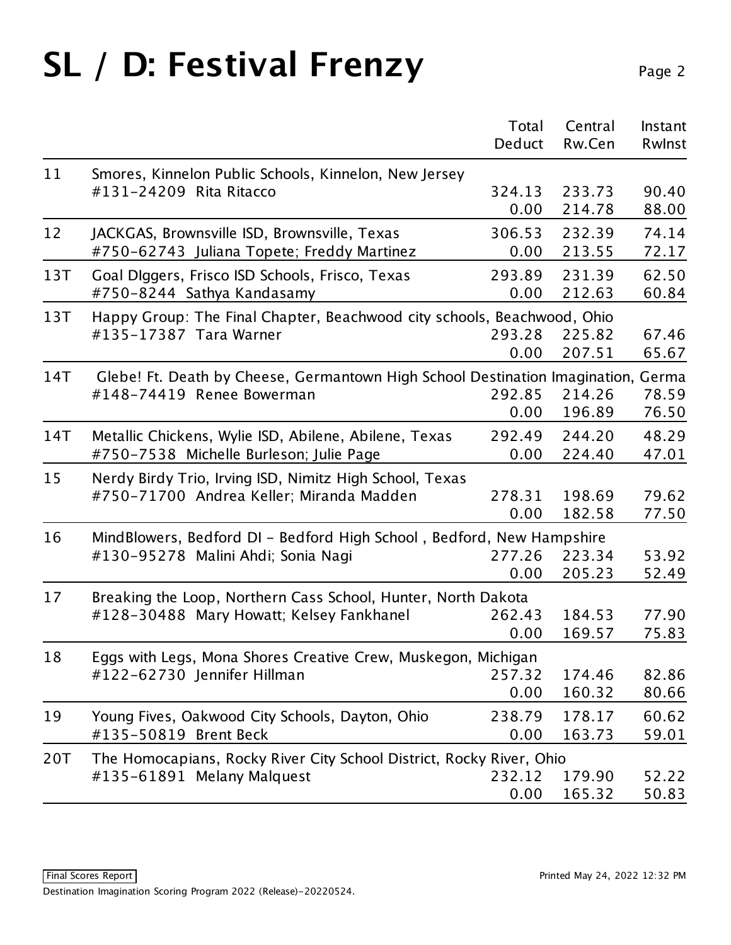# SL / D: Festival Frenzy Page 2

|     |                                                                                                  | Total<br>Deduct | Central<br>Rw.Cen | Instant<br>Rwlnst          |  |
|-----|--------------------------------------------------------------------------------------------------|-----------------|-------------------|----------------------------|--|
| 11  | Smores, Kinnelon Public Schools, Kinnelon, New Jersey                                            |                 |                   |                            |  |
|     | #131-24209 Rita Ritacco                                                                          | 324.13<br>0.00  | 233.73<br>214.78  | 90.40<br>88.00             |  |
| 12  | JACKGAS, Brownsville ISD, Brownsville, Texas<br>#750-62743 Juliana Topete; Freddy Martinez       | 306.53<br>0.00  | 232.39<br>213.55  | 74.14<br>72.17             |  |
| 13T | Goal Diggers, Frisco ISD Schools, Frisco, Texas<br>#750-8244 Sathya Kandasamy                    | 293.89<br>0.00  | 231.39<br>212.63  | 62.50<br>60.84             |  |
| 13T | Happy Group: The Final Chapter, Beachwood city schools, Beachwood, Ohio                          |                 |                   |                            |  |
|     | #135-17387 Tara Warner                                                                           | 293.28<br>0.00  | 225.82<br>207.51  | 67.46<br>65.67             |  |
| 14T | Glebe! Ft. Death by Cheese, Germantown High School Destination Imagination, Germa                |                 |                   |                            |  |
|     | #148-74419 Renee Bowerman                                                                        | 292.85<br>0.00  | 214.26<br>196.89  | 78.59<br>76.50             |  |
| 14T | Metallic Chickens, Wylie ISD, Abilene, Abilene, Texas<br>#750-7538 Michelle Burleson; Julie Page | 292.49<br>0.00  | 244.20<br>224.40  | 48.29<br>47.01             |  |
| 15  | Nerdy Birdy Trio, Irving ISD, Nimitz High School, Texas                                          |                 |                   |                            |  |
|     | #750-71700 Andrea Keller; Miranda Madden                                                         | 278.31<br>0.00  | 198.69<br>182.58  | 79.62<br>77.50             |  |
| 16  | MindBlowers, Bedford DI - Bedford High School, Bedford, New Hampshire                            |                 |                   |                            |  |
|     | #130-95278 Malini Ahdi; Sonia Nagi                                                               | 277.26<br>0.00  | 223.34<br>205.23  | 53.92<br>52.49             |  |
| 17  | Breaking the Loop, Northern Cass School, Hunter, North Dakota                                    |                 |                   | 184.53<br>169.57<br>174.46 |  |
|     | #128-30488 Mary Howatt; Kelsey Fankhanel                                                         | 262.43<br>0.00  |                   | 77.90<br>75.83             |  |
| 18  | Eggs with Legs, Mona Shores Creative Crew, Muskegon, Michigan                                    |                 |                   |                            |  |
|     | #122-62730 Jennifer Hillman                                                                      | 257.32<br>0.00  | 160.32            | 82.86<br>80.66             |  |
| 19  | Young Fives, Oakwood City Schools, Dayton, Ohio<br>#135-50819 Brent Beck                         | 238.79<br>0.00  | 178.17<br>163.73  | 60.62<br>59.01             |  |
| 20T | The Homocapians, Rocky River City School District, Rocky River, Ohio                             |                 |                   |                            |  |
|     | #135-61891 Melany Malquest                                                                       | 232.12<br>0.00  | 179.90<br>165.32  | 52.22<br>50.83             |  |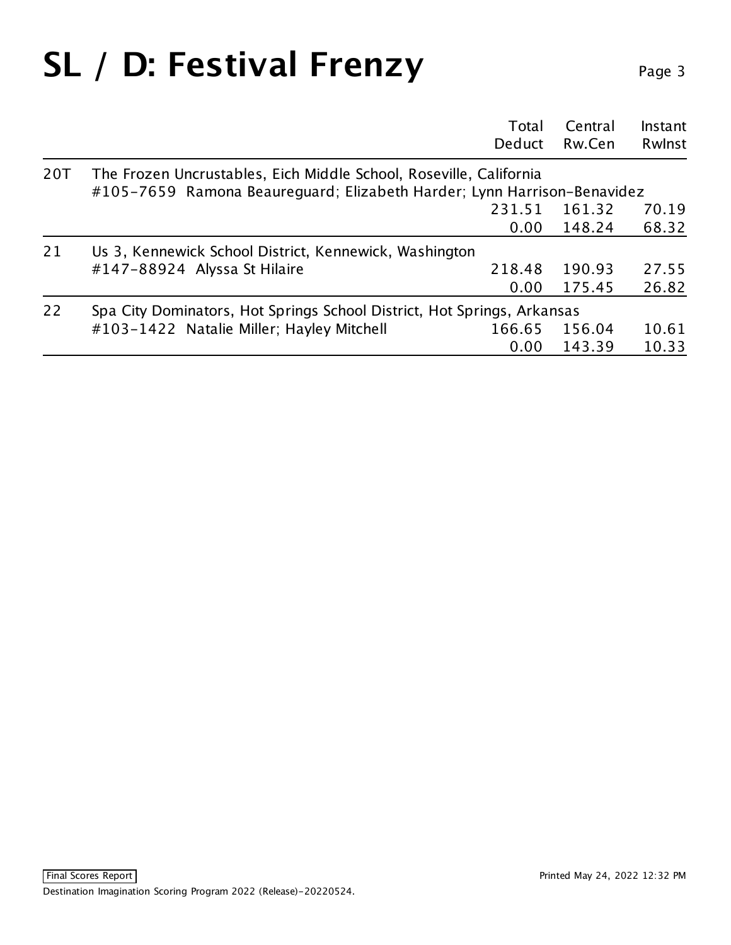## SL / D: Festival Frenzy Page 3

|     |                                                                                                                                               | Total<br>Deduct | Central<br>Rw.Cen | Instant<br>Rwlnst |
|-----|-----------------------------------------------------------------------------------------------------------------------------------------------|-----------------|-------------------|-------------------|
| 20T | The Frozen Uncrustables, Eich Middle School, Roseville, California<br>#105-7659 Ramona Beaureguard; Elizabeth Harder; Lynn Harrison-Benavidez |                 |                   |                   |
|     |                                                                                                                                               |                 |                   |                   |
|     |                                                                                                                                               | 231.51          | 161.32            | 70.19             |
|     |                                                                                                                                               | 0.00            | 148.24            | 68.32             |
| 21  | Us 3, Kennewick School District, Kennewick, Washington                                                                                        |                 |                   |                   |
|     | #147-88924 Alyssa St Hilaire                                                                                                                  | 218.48          | 190.93            | 27.55             |
|     |                                                                                                                                               | 0.00            | 175.45            | 26.82             |
| 22  | Spa City Dominators, Hot Springs School District, Hot Springs, Arkansas                                                                       |                 |                   |                   |
|     | #103-1422 Natalie Miller; Hayley Mitchell                                                                                                     | 166.65          | 156.04            | 10.61             |
|     |                                                                                                                                               | 0.00            | 143.39            | 10.33             |
|     |                                                                                                                                               |                 |                   |                   |